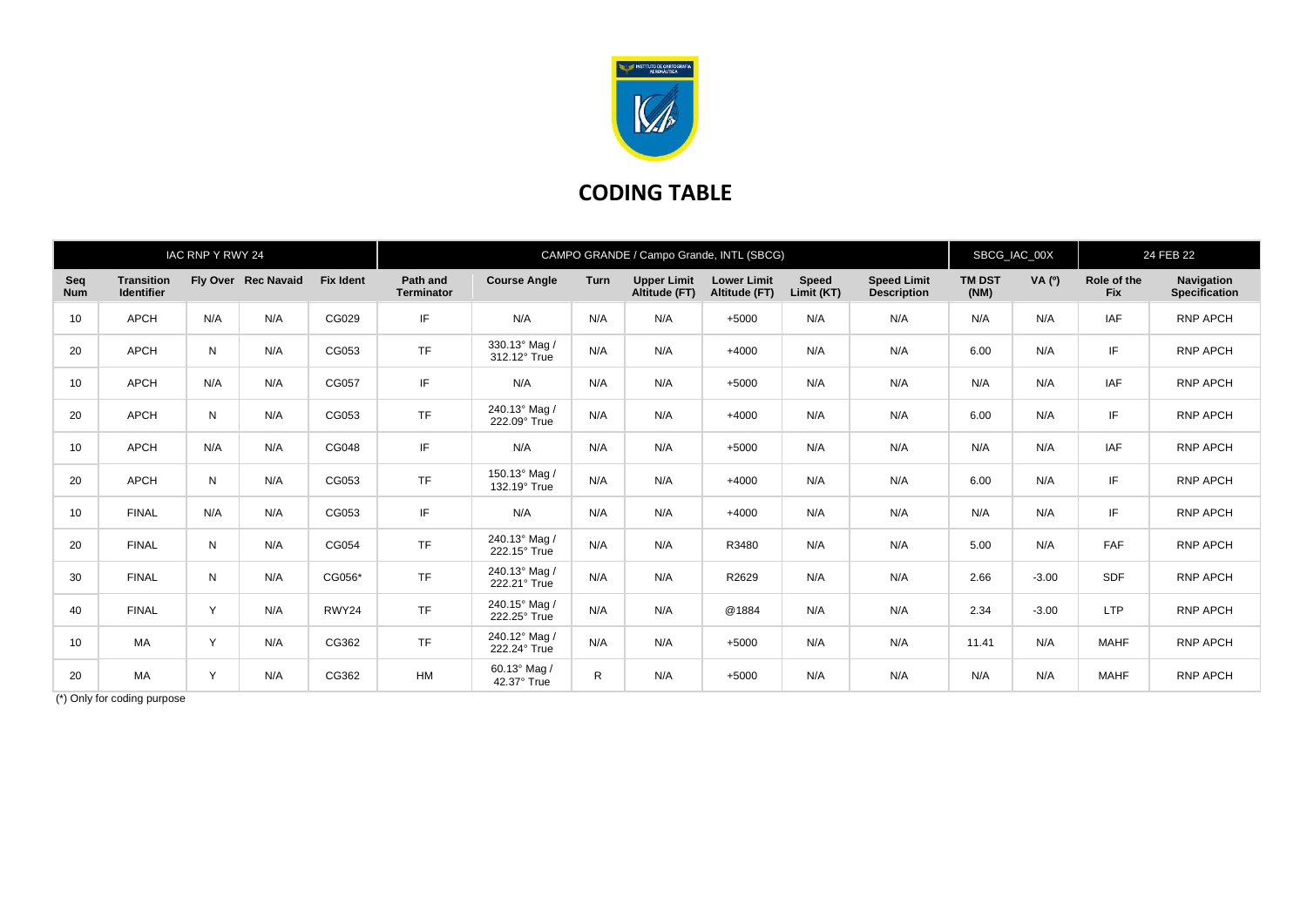

## **CODING TABLE**

| IAC RNP Y RWY 24  |                                        |           |                     |                  | CAMPO GRANDE / Campo Grande, INTL (SBCG) |                               |      |                                     |                                     |                     |                                          |                       | SBCG_IAC_00X |                           | 24 FEB 22                                 |  |
|-------------------|----------------------------------------|-----------|---------------------|------------------|------------------------------------------|-------------------------------|------|-------------------------------------|-------------------------------------|---------------------|------------------------------------------|-----------------------|--------------|---------------------------|-------------------------------------------|--|
| Seq<br><b>Num</b> | <b>Transition</b><br><b>Identifier</b> |           | Fly Over Rec Navaid | <b>Fix Ident</b> | Path and<br><b>Terminator</b>            | <b>Course Angle</b>           | Turn | <b>Upper Limit</b><br>Altitude (FT) | <b>Lower Limit</b><br>Altitude (FT) | Speed<br>Limit (KT) | <b>Speed Limit</b><br><b>Description</b> | <b>TM DST</b><br>(NM) | VA (0)       | Role of the<br><b>Fix</b> | <b>Navigation</b><br><b>Specification</b> |  |
| 10                | <b>APCH</b>                            | N/A       | N/A                 | CG029            | IF                                       | N/A                           | N/A  | N/A                                 | $+5000$                             | N/A                 | N/A                                      | N/A                   | N/A          | <b>IAF</b>                | <b>RNP APCH</b>                           |  |
| 20                | <b>APCH</b>                            | N         | N/A                 | CG053            | <b>TF</b>                                | 330.13° Mag /<br>312.12° True | N/A  | N/A                                 | $+4000$                             | N/A                 | N/A                                      | 6.00                  | N/A          | IF                        | RNP APCH                                  |  |
| 10                | <b>APCH</b>                            | N/A       | N/A                 | CG057            | IF                                       | N/A                           | N/A  | N/A                                 | $+5000$                             | N/A                 | N/A                                      | N/A                   | N/A          | IAF                       | <b>RNP APCH</b>                           |  |
| 20                | <b>APCH</b>                            | N         | N/A                 | CG053            | <b>TF</b>                                | 240.13° Mag /<br>222.09° True | N/A  | N/A                                 | $+4000$                             | N/A                 | N/A                                      | 6.00                  | N/A          | IF                        | <b>RNP APCH</b>                           |  |
| 10                | <b>APCH</b>                            | N/A       | N/A                 | CG048            | IF                                       | N/A                           | N/A  | N/A                                 | $+5000$                             | N/A                 | N/A                                      | N/A                   | N/A          | <b>IAF</b>                | <b>RNP APCH</b>                           |  |
| 20                | <b>APCH</b>                            | ${\sf N}$ | N/A                 | CG053            | <b>TF</b>                                | 150.13° Mag /<br>132.19° True | N/A  | N/A                                 | $+4000$                             | N/A                 | N/A                                      | 6.00                  | N/A          | IF                        | <b>RNP APCH</b>                           |  |
| 10                | <b>FINAL</b>                           | N/A       | N/A                 | CG053            | IF                                       | N/A                           | N/A  | N/A                                 | $+4000$                             | N/A                 | N/A                                      | N/A                   | N/A          | IF                        | <b>RNP APCH</b>                           |  |
| 20                | <b>FINAL</b>                           | N         | N/A                 | CG054            | <b>TF</b>                                | 240.13° Mag /<br>222.15° True | N/A  | N/A                                 | R3480                               | N/A                 | N/A                                      | 5.00                  | N/A          | <b>FAF</b>                | <b>RNP APCH</b>                           |  |
| 30                | <b>FINAL</b>                           | N         | N/A                 | CG056*           | <b>TF</b>                                | 240.13° Mag /<br>222.21° True | N/A  | N/A                                 | R2629                               | N/A                 | N/A                                      | 2.66                  | $-3.00$      | <b>SDF</b>                | <b>RNP APCH</b>                           |  |
| 40                | <b>FINAL</b>                           | Y         | N/A                 | RWY24            | <b>TF</b>                                | 240.15° Mag /<br>222.25° True | N/A  | N/A                                 | @1884                               | N/A                 | N/A                                      | 2.34                  | $-3.00$      | <b>LTP</b>                | <b>RNP APCH</b>                           |  |
| 10                | <b>MA</b>                              | Y         | N/A                 | CG362            | <b>TF</b>                                | 240.12° Mag /<br>222.24° True | N/A  | N/A                                 | $+5000$                             | N/A                 | N/A                                      | 11.41                 | N/A          | <b>MAHF</b>               | <b>RNP APCH</b>                           |  |
| 20                | <b>MA</b>                              | Y         | N/A                 | CG362            | <b>HM</b>                                | 60.13° Mag /<br>42.37° True   | R.   | N/A                                 | $+5000$                             | N/A                 | N/A                                      | N/A                   | N/A          | <b>MAHF</b>               | <b>RNP APCH</b>                           |  |

(\*) Only for coding purpose